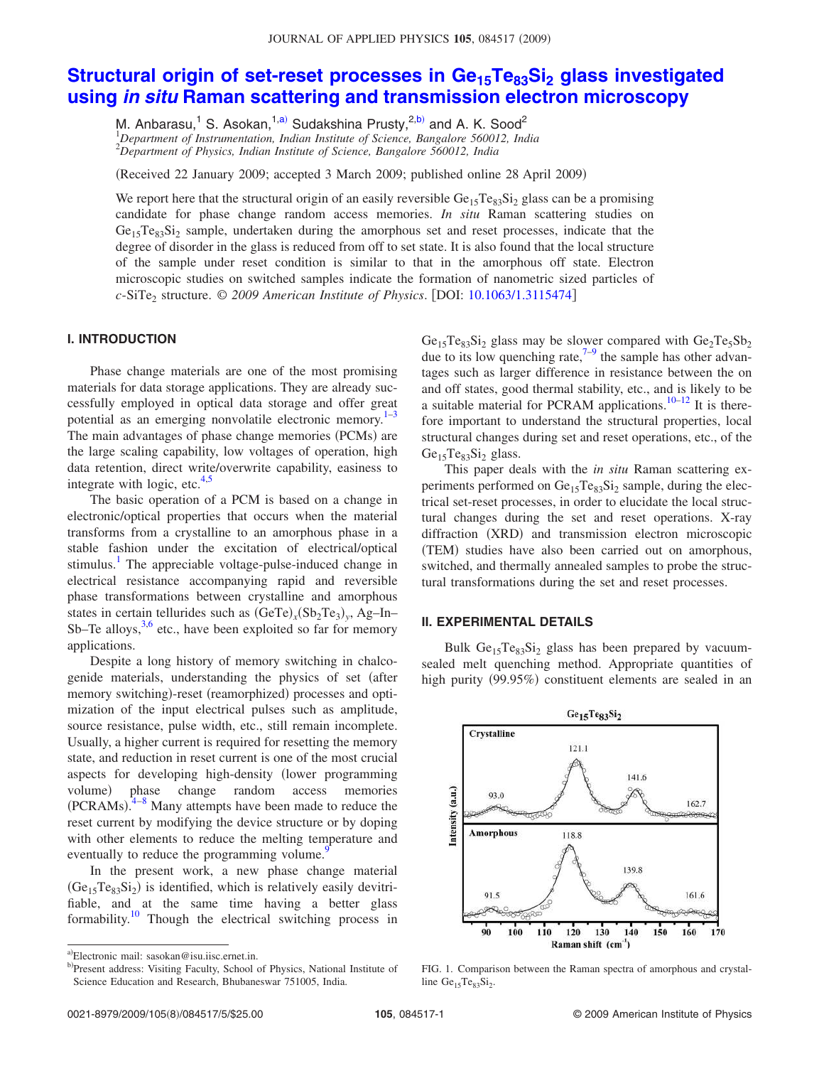# **Structural origin of set-reset processes in Ge15Te83Si<sup>2</sup> glass investigated using in situ Raman scattering and transmission electron microscopy**

M. Anbarasu,<sup>1</sup> S. Asokan,<sup>1,a)</sup> Sudakshina Prusty,<sup>2,b)</sup> and A. K. Sood<sup>2</sup> <sup>1</sup>*Department of Instrumentation, Indian Institute of Science, Bangalore 560012, India*

<sup>2</sup>*Department of Physics, Indian Institute of Science, Bangalore 560012, India*

Received 22 January 2009; accepted 3 March 2009; published online 28 April 2009-

We report here that the structural origin of an easily reversible  $Ge_{15}Te_{83}Si_2$  glass can be a promising candidate for phase change random access memories. *In situ* Raman scattering studies on Ge<sub>15</sub>Te<sub>83</sub>Si<sub>2</sub> sample, undertaken during the amorphous set and reset processes, indicate that the degree of disorder in the glass is reduced from off to set state. It is also found that the local structure of the sample under reset condition is similar to that in the amorphous off state. Electron microscopic studies on switched samples indicate the formation of nanometric sized particles of *c*-SiTe<sub>2</sub> structure. © 2009 American Institute of Physics. [DOI: 10.1063/1.3115474]

#### **I. INTRODUCTION**

Phase change materials are one of the most promising materials for data storage applications. They are already successfully employed in optical data storage and offer great potential as an emerging nonvolatile electronic memory. $1^{-3}$ The main advantages of phase change memories (PCMs) are the large scaling capability, low voltages of operation, high data retention, direct write/overwrite capability, easiness to integrate with logic, etc. $4,5$ 

The basic operation of a PCM is based on a change in electronic/optical properties that occurs when the material transforms from a crystalline to an amorphous phase in a stable fashion under the excitation of electrical/optical stimulus.<sup>1</sup> The appreciable voltage-pulse-induced change in electrical resistance accompanying rapid and reversible phase transformations between crystalline and amorphous states in certain tellurides such as  $(GeTe)_x(Sb_2Te_3)_y$ , Ag-In-Sb–Te alloys,<sup>3,6</sup> etc., have been exploited so far for memory applications.

Despite a long history of memory switching in chalcogenide materials, understanding the physics of set (after memory switching)-reset (reamorphized) processes and optimization of the input electrical pulses such as amplitude, source resistance, pulse width, etc., still remain incomplete. Usually, a higher current is required for resetting the memory state, and reduction in reset current is one of the most crucial aspects for developing high-density lower programming volume) phase change random access memories  $(PCRAMs)$ <sup>4-8</sup> Many attempts have been made to reduce the reset current by modifying the device structure or by doping with other elements to reduce the melting temperature and eventually to reduce the programming volume.<sup>9</sup>

In the present work, a new phase change material  $(Ge_{15}Te_{83}Si_2)$  is identified, which is relatively easily devitrifiable, and at the same time having a better glass formability.<sup>10</sup> Though the electrical switching process in

 $Ge_{15}Te_{83}Si_2$  glass may be slower compared with  $Ge_2Te_5Sb_2$ due to its low quenching rate, $7-9$  the sample has other advantages such as larger difference in resistance between the on and off states, good thermal stability, etc., and is likely to be a suitable material for PCRAM applications. $10-12$  It is therefore important to understand the structural properties, local structural changes during set and reset operations, etc., of the  $Ge<sub>15</sub>Te<sub>83</sub>Si<sub>2</sub> glass.$ 

This paper deals with the *in situ* Raman scattering experiments performed on Ge<sub>15</sub>Te<sub>83</sub>Si<sub>2</sub> sample, during the electrical set-reset processes, in order to elucidate the local structural changes during the set and reset operations. X-ray diffraction (XRD) and transmission electron microscopic (TEM) studies have also been carried out on amorphous, switched, and thermally annealed samples to probe the structural transformations during the set and reset processes.

## **II. EXPERIMENTAL DETAILS**

Bulk  $Ge_{15}Te_{83}Si_2$  glass has been prepared by vacuumsealed melt quenching method. Appropriate quantities of high purity (99.95%) constituent elements are sealed in an



FIG. 1. Comparison between the Raman spectra of amorphous and crystalline  $Ge_{15}Te_{83}Si_2$ .

a)Electronic mail: sasokan@isu.iisc.ernet.in.

b)Present address: Visiting Faculty, School of Physics, National Institute of Science Education and Research, Bhubaneswar 751005, India.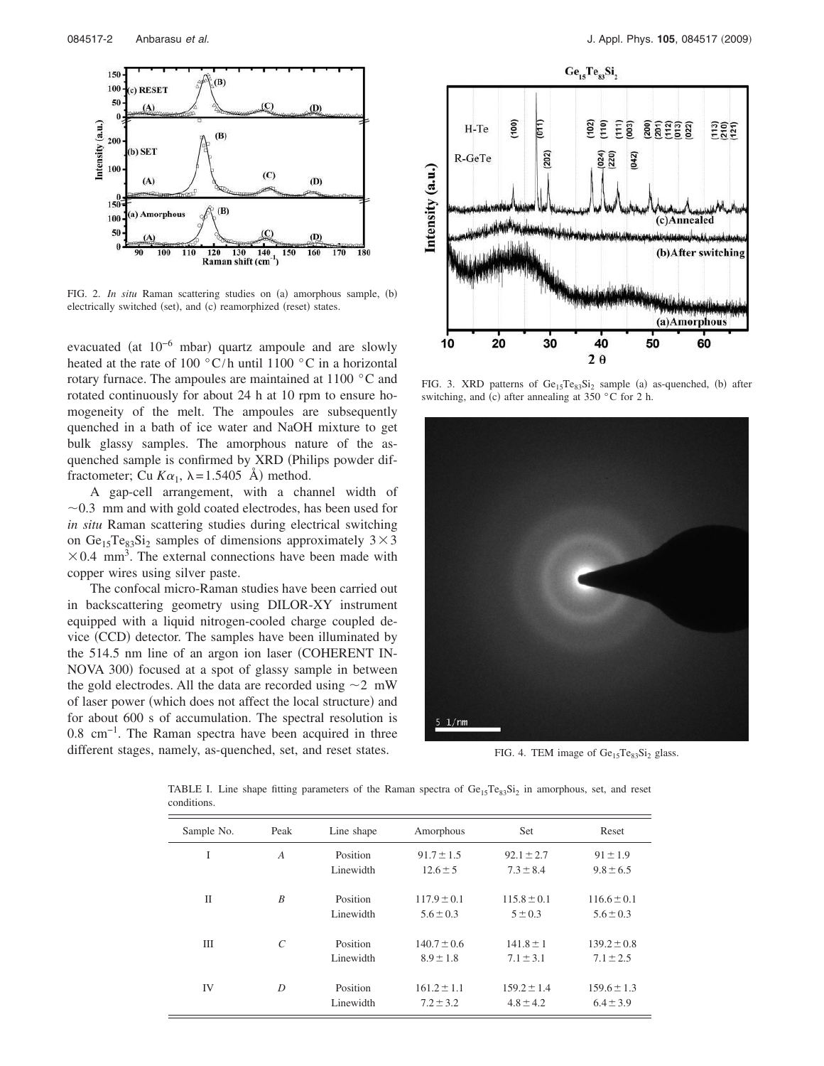

FIG. 2. *In situ* Raman scattering studies on (a) amorphous sample, (b) electrically switched (set), and (c) reamorphized (reset) states.

evacuated (at  $10^{-6}$  mbar) quartz ampoule and are slowly heated at the rate of 100 °C/h until 1100 °C in a horizontal rotary furnace. The ampoules are maintained at 1100 °C and rotated continuously for about 24 h at 10 rpm to ensure homogeneity of the melt. The ampoules are subsequently quenched in a bath of ice water and NaOH mixture to get bulk glassy samples. The amorphous nature of the asquenched sample is confirmed by XRD (Philips powder diffractometer; Cu  $K\alpha_1$ ,  $\lambda = 1.5405$  Å) method.

A gap-cell arrangement, with a channel width of  $\sim$ 0.3 mm and with gold coated electrodes, has been used for *in situ* Raman scattering studies during electrical switching on Ge<sub>15</sub>Te<sub>83</sub>Si<sub>2</sub> samples of dimensions approximately  $3 \times 3$  $\times$  0.4 mm<sup>3</sup>. The external connections have been made with copper wires using silver paste.

The confocal micro-Raman studies have been carried out in backscattering geometry using DILOR-XY instrument equipped with a liquid nitrogen-cooled charge coupled device (CCD) detector. The samples have been illuminated by the 514.5 nm line of an argon ion laser COHERENT IN-NOVA 300) focused at a spot of glassy sample in between the gold electrodes. All the data are recorded using  $\sim$ 2 mW of laser power (which does not affect the local structure) and for about 600 s of accumulation. The spectral resolution is 0.8 cm−1. The Raman spectra have been acquired in three different stages, namely, as-quenched, set, and reset states.



FIG. 3. XRD patterns of  $Ge_{15}Te_{83}Si_2$  sample (a) as-quenched, (b) after switching, and (c) after annealing at 350  $\degree$ C for 2 h.



FIG. 4. TEM image of  $Ge_{15}Te_{83}Si_2$  glass.

TABLE I. Line shape fitting parameters of the Raman spectra of  $Ge_{15}Te_{83}Si_2$  in amorphous, set, and reset conditions.

| Sample No.   | Peak           | Line shape            | Amorphous                        | Set                              | Reset                            |
|--------------|----------------|-----------------------|----------------------------------|----------------------------------|----------------------------------|
| I            | $\overline{A}$ | Position<br>Linewidth | $91.7 \pm 1.5$<br>$12.6 \pm 5$   | $92.1 \pm 2.7$<br>$7.3 \pm 8.4$  | $91 \pm 1.9$<br>$9.8 \pm 6.5$    |
| $\mathbf{I}$ | B              | Position<br>Linewidth | $117.9 \pm 0.1$<br>$5.6 \pm 0.3$ | $115.8 \pm 0.1$<br>$5 \pm 0.3$   | $116.6 \pm 0.1$<br>$5.6 \pm 0.3$ |
| Ш            | $\mathcal{C}$  | Position<br>Linewidth | $140.7 \pm 0.6$<br>$8.9 \pm 1.8$ | $141.8 \pm 1$<br>$7.1 \pm 3.1$   | $139.2 \pm 0.8$<br>$7.1 \pm 2.5$ |
| IV           | D              | Position<br>Linewidth | $161.2 \pm 1.1$<br>$7.2 \pm 3.2$ | $159.2 \pm 1.4$<br>$4.8 \pm 4.2$ | $159.6 \pm 1.3$<br>$6.4 \pm 3.9$ |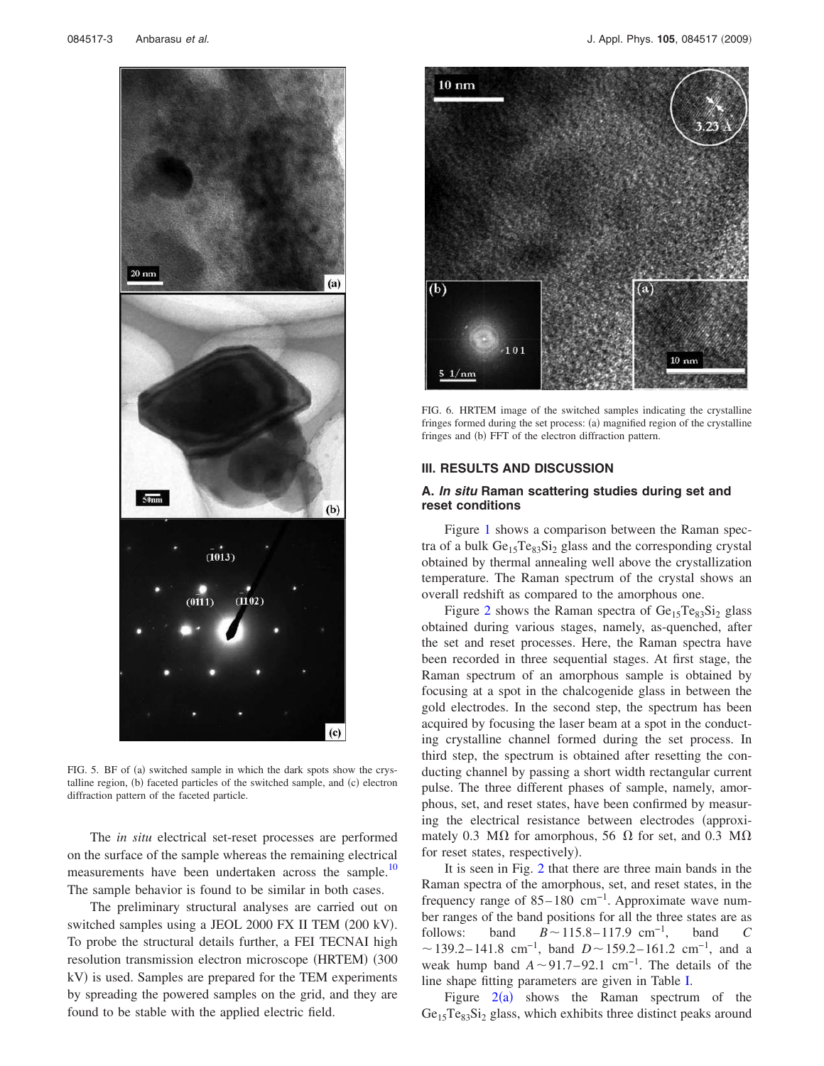

FIG. 5. BF of (a) switched sample in which the dark spots show the crystalline region, (b) faceted particles of the switched sample, and (c) electron diffraction pattern of the faceted particle.

The *in situ* electrical set-reset processes are performed on the surface of the sample whereas the remaining electrical measurements have been undertaken across the sample.<sup>10</sup> The sample behavior is found to be similar in both cases.

The preliminary structural analyses are carried out on switched samples using a JEOL 2000 FX II TEM (200 kV). To probe the structural details further, a FEI TECNAI high resolution transmission electron microscope (HRTEM) (300 kV) is used. Samples are prepared for the TEM experiments by spreading the powered samples on the grid, and they are found to be stable with the applied electric field.



FIG. 6. HRTEM image of the switched samples indicating the crystalline fringes formed during the set process: (a) magnified region of the crystalline fringes and (b) FFT of the electron diffraction pattern.

# **III. RESULTS AND DISCUSSION**

### **A. In situ Raman scattering studies during set and reset conditions**

Figure 1 shows a comparison between the Raman spectra of a bulk  $Ge_{15}Te_{83}Si_2$  glass and the corresponding crystal obtained by thermal annealing well above the crystallization temperature. The Raman spectrum of the crystal shows an overall redshift as compared to the amorphous one.

Figure 2 shows the Raman spectra of  $Ge_{15}Te_{83}Si_2$  glass obtained during various stages, namely, as-quenched, after the set and reset processes. Here, the Raman spectra have been recorded in three sequential stages. At first stage, the Raman spectrum of an amorphous sample is obtained by focusing at a spot in the chalcogenide glass in between the gold electrodes. In the second step, the spectrum has been acquired by focusing the laser beam at a spot in the conducting crystalline channel formed during the set process. In third step, the spectrum is obtained after resetting the conducting channel by passing a short width rectangular current pulse. The three different phases of sample, namely, amorphous, set, and reset states, have been confirmed by measuring the electrical resistance between electrodes (approximately 0.3 M $\Omega$  for amorphous, 56  $\Omega$  for set, and 0.3 M $\Omega$ for reset states, respectively).

It is seen in Fig. 2 that there are three main bands in the Raman spectra of the amorphous, set, and reset states, in the frequency range of  $85-180$  cm<sup>-1</sup>. Approximate wave number ranges of the band positions for all the three states are as follows: band  $B \sim 115.8 - 117.9$  cm<sup>-1</sup>, band *C*  $\sim$  139.2–141.8 cm<sup>-1</sup>, band *D* $\sim$  159.2–161.2 cm<sup>-1</sup>, and a weak hump band  $A \sim 91.7 - 92.1$  cm<sup>-1</sup>. The details of the line shape fitting parameters are given in Table I.

Figure  $2(a)$  shows the Raman spectrum of the  $Ge<sub>15</sub>Te<sub>83</sub>Si<sub>2</sub> glass$ , which exhibits three distinct peaks around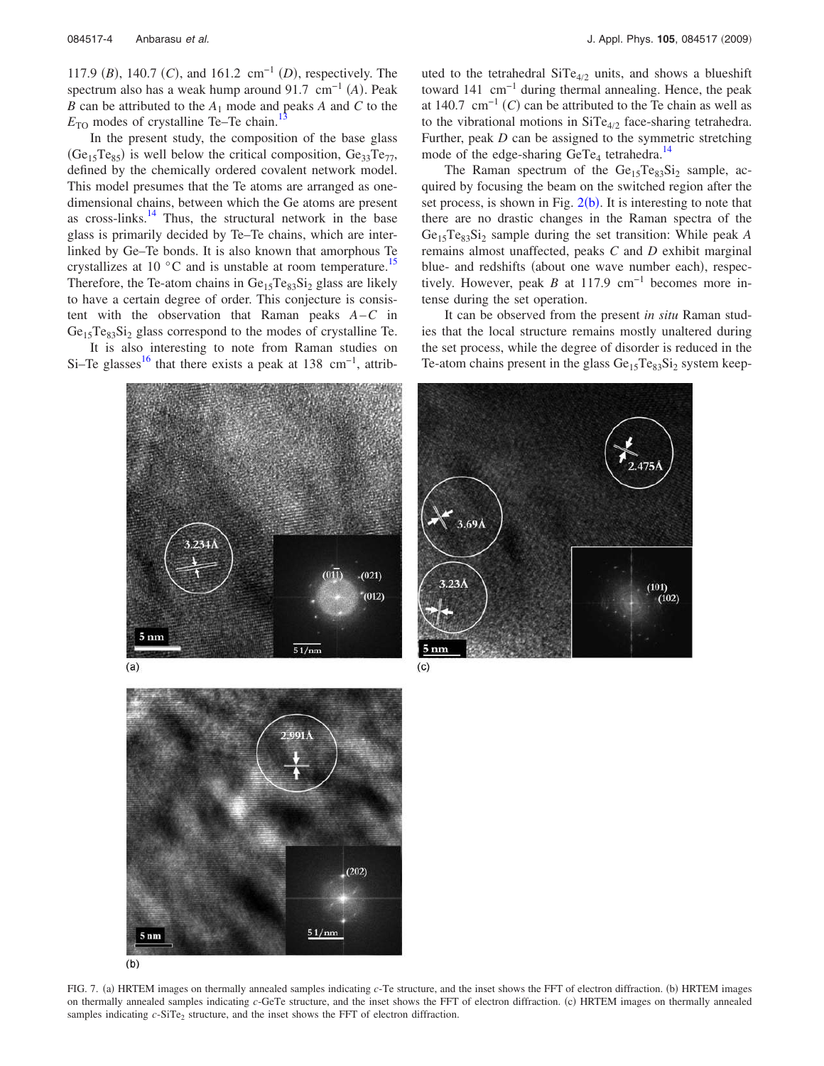117.9 (*B*), 140.7 (*C*), and 161.2 cm<sup>-1</sup> (*D*), respectively. The spectrum also has a weak hump around 91.7 cm<sup>-1</sup> (A). Peak *B* can be attributed to the  $A_1$  mode and peaks *A* and *C* to the  $E_{\text{TO}}$  modes of crystalline Te–Te chain.<sup>13</sup>

In the present study, the composition of the base glass  $(Ge_{15}Te_{85})$  is well below the critical composition,  $Ge_{33}Te_{77}$ , defined by the chemically ordered covalent network model. This model presumes that the Te atoms are arranged as onedimensional chains, between which the Ge atoms are present as cross-links. $14$  Thus, the structural network in the base glass is primarily decided by Te–Te chains, which are interlinked by Ge–Te bonds. It is also known that amorphous Te crystallizes at 10 $\degree$ C and is unstable at room temperature.<sup>15</sup> Therefore, the Te-atom chains in  $Ge_{15}Te_{83}Si_2$  glass are likely to have a certain degree of order. This conjecture is consistent with the observation that Raman peaks *A*–*C* in  $Ge_{15}Te_{83}Si_2$  glass correspond to the modes of crystalline Te.

It is also interesting to note from Raman studies on Si–Te glasses<sup>16</sup> that there exists a peak at 138 cm<sup>-1</sup>, attrib-

> $(021)$  $(012)$  $5 \text{ nm}$  $51/n$



uted to the tetrahedral  $SiTe_{4/2}$  units, and shows a blueshift toward 141 cm−1 during thermal annealing. Hence, the peak at 140.7  $\text{cm}^{-1}(C)$  can be attributed to the Te chain as well as to the vibrational motions in  $\text{SiTe}_{4/2}$  face-sharing tetrahedra. Further, peak *D* can be assigned to the symmetric stretching

mode of the edge-sharing  $GeTe_4$  tetrahedra.<sup>14</sup> The Raman spectrum of the  $Ge_{15}Te_{83}Si_2$  sample, acquired by focusing the beam on the switched region after the set process, is shown in Fig.  $2(b)$ . It is interesting to note that there are no drastic changes in the Raman spectra of the Ge15Te83Si<sup>2</sup> sample during the set transition: While peak *A* remains almost unaffected, peaks *C* and *D* exhibit marginal blue- and redshifts (about one wave number each), respectively. However, peak *B* at 117.9 cm<sup>-1</sup> becomes more intense during the set operation.

It can be observed from the present *in situ* Raman studies that the local structure remains mostly unaltered during the set process, while the degree of disorder is reduced in the Te-atom chains present in the glass  $Ge_{15}Te_{83}Si_2$  system keep-



FIG. 7. (a) HRTEM images on thermally annealed samples indicating *c*-Te structure, and the inset shows the FFT of electron diffraction. (b) HRTEM images on thermally annealed samples indicating *c*-GeTe structure, and the inset shows the FFT of electron diffraction. (c) HRTEM images on thermally annealed samples indicating  $c$ -SiTe<sub>2</sub> structure, and the inset shows the FFT of electron diffraction.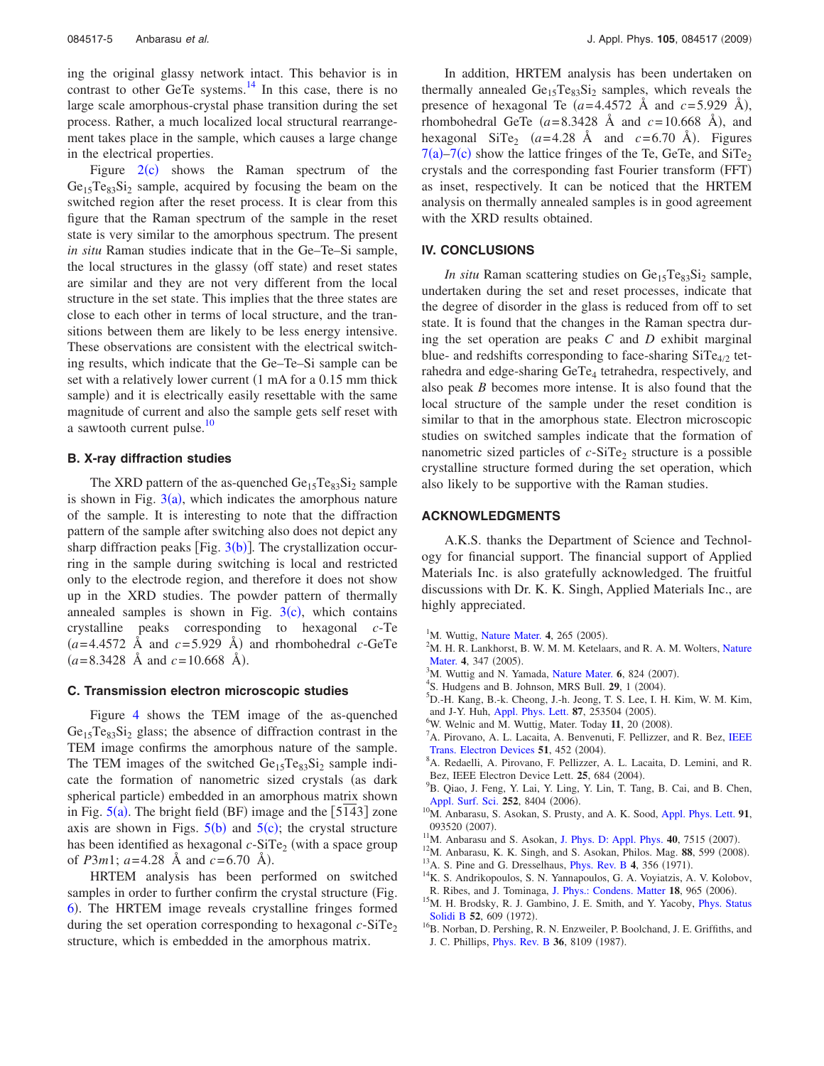ing the original glassy network intact. This behavior is in contrast to other GeTe systems. $14$  In this case, there is no large scale amorphous-crystal phase transition during the set process. Rather, a much localized local structural rearrangement takes place in the sample, which causes a large change in the electrical properties.

Figure  $2(c)$  shows the Raman spectrum of the  $Ge_{15}Te_{83}Si_2$  sample, acquired by focusing the beam on the switched region after the reset process. It is clear from this figure that the Raman spectrum of the sample in the reset state is very similar to the amorphous spectrum. The present *in situ* Raman studies indicate that in the Ge–Te–Si sample, the local structures in the glassy (off state) and reset states are similar and they are not very different from the local structure in the set state. This implies that the three states are close to each other in terms of local structure, and the transitions between them are likely to be less energy intensive. These observations are consistent with the electrical switching results, which indicate that the Ge–Te–Si sample can be set with a relatively lower current  $(1 \text{ mA}$  for a  $0.15 \text{ mm}$  thick sample) and it is electrically easily resettable with the same magnitude of current and also the sample gets self reset with a sawtooth current pulse.<sup>10</sup>

### **B. X-ray diffraction studies**

The XRD pattern of the as-quenched  $Ge_{15}Te_{83}Si_2$  sample is shown in Fig.  $3(a)$ , which indicates the amorphous nature of the sample. It is interesting to note that the diffraction pattern of the sample after switching also does not depict any sharp diffraction peaks [Fig.  $3(b)$ ]. The crystallization occurring in the sample during switching is local and restricted only to the electrode region, and therefore it does not show up in the XRD studies. The powder pattern of thermally annealed samples is shown in Fig.  $3(c)$ , which contains crystalline peaks corresponding to hexagonal *c*-Te  $(a=4.4572 \text{ Å} \text{ and } c=5.929 \text{ Å})$  and rhombohedral *c*-GeTe  $(a=8.3428 \text{ Å} \text{ and } c=10.668 \text{ Å}).$ 

#### **C. Transmission electron microscopic studies**

Figure 4 shows the TEM image of the as-quenched  $Ge<sub>15</sub>Te<sub>83</sub>Si<sub>2</sub> glass$ ; the absence of diffraction contrast in the TEM image confirms the amorphous nature of the sample. The TEM images of the switched  $Ge_{15}Te_{83}Si_2$  sample indicate the formation of nanometric sized crystals (as dark spherical particle) embedded in an amorphous matrix shown in Fig.  $5(a)$ . The bright field (BF) image and the [5143] zone axis are shown in Figs.  $5(b)$  and  $5(c)$ ; the crystal structure has been identified as hexagonal  $c$ -SiTe<sub>2</sub> (with a space group of *P*3*m*1;  $a=4.28$  Å and  $c=6.70$  Å).

HRTEM analysis has been performed on switched samples in order to further confirm the crystal structure (Fig. 6). The HRTEM image reveals crystalline fringes formed during the set operation corresponding to hexagonal  $c$ -SiTe<sub>2</sub> structure, which is embedded in the amorphous matrix.

In addition, HRTEM analysis has been undertaken on thermally annealed  $Ge_{15}Te_{83}Si_2$  samples, which reveals the presence of hexagonal Te  $(a=4.4572 \text{ Å} \text{ and } c=5.929 \text{ Å})$ , rhombohedral GeTe  $(a=8.3428 \text{ Å} \text{ and } c=10.668 \text{ Å})$ , and hexagonal  $\text{SiTe}_2$  (*a*=4.28 Å and *c*=6.70 Å). Figures  $7(a)$ – $7(c)$  show the lattice fringes of the Te, GeTe, and SiTe<sub>2</sub> crystals and the corresponding fast Fourier transform (FFT) as inset, respectively. It can be noticed that the HRTEM analysis on thermally annealed samples is in good agreement with the XRD results obtained.

#### **IV. CONCLUSIONS**

*In situ* Raman scattering studies on Ge<sub>15</sub>Te<sub>83</sub>Si<sub>2</sub> sample, undertaken during the set and reset processes, indicate that the degree of disorder in the glass is reduced from off to set state. It is found that the changes in the Raman spectra during the set operation are peaks *C* and *D* exhibit marginal blue- and redshifts corresponding to face-sharing  $SiTe_{4/2}$  tetrahedra and edge-sharing GeTe<sub>4</sub> tetrahedra, respectively, and also peak *B* becomes more intense. It is also found that the local structure of the sample under the reset condition is similar to that in the amorphous state. Electron microscopic studies on switched samples indicate that the formation of nanometric sized particles of  $c$ -SiTe<sub>2</sub> structure is a possible crystalline structure formed during the set operation, which also likely to be supportive with the Raman studies.

#### **ACKNOWLEDGMENTS**

A.K.S. thanks the Department of Science and Technology for financial support. The financial support of Applied Materials Inc. is also gratefully acknowledged. The fruitful discussions with Dr. K. K. Singh, Applied Materials Inc., are highly appreciated.

- <sup>1</sup>M. Wuttig, Nature Mater. 4, 265 (2005).
- $2^2$ M. H. R. Lankhorst, B. W. M. M. Ketelaars, and R. A. M. Wolters, Nature Mater. 4, 347 (2005).
- <sup>3</sup>M. Wuttig and N. Yamada, Nature Mater. 6, 824 (2007).
- <sup>4</sup>S. Hudgens and B. Johnson, MRS Bull. 29, 1 (2004).
- <sup>5</sup>D.-H. Kang, B.-k. Cheong, J.-h. Jeong, T. S. Lee, I. H. Kim, W. M. Kim, and J-Y. Huh, Appl. Phys. Lett. 87, 253504 (2005).
- $^{6}$ W. Welnic and M. Wuttig, Mater. Today 11, 20 (2008).
- ${}^{7}$ A. Pirovano, A. L. Lacaita, A. Benvenuti, F. Pellizzer, and R. Bez, IEEE Trans. Electron Devices 51, 452 (2004).
- <sup>8</sup>A. Redaelli, A. Pirovano, F. Pellizzer, A. L. Lacaita, D. Lemini, and R. Bez, IEEE Electron Device Lett. **25**, 684 (2004).
- <sup>9</sup>B. Qiao, J. Feng, Y. Lai, Y. Ling, Y. Lin, T. Tang, B. Cai, and B. Chen, Appl. Surf. Sci. 252, 8404 (2006).
- <sup>10</sup>M. Anbarasu, S. Asokan, S. Prusty, and A. K. Sood, Appl. Phys. Lett. 91, 093520 (2007).
- <sup>11</sup>M. Anbarasu and S. Asokan, J. Phys. D: Appl. Phys. **40**, 7515 (2007).
- <sup>12</sup>M. Anbarasu, K. K. Singh, and S. Asokan, Philos. Mag. 88, 599 (2008).
- <sup>13</sup>A. S. Pine and G. Dresselhaus, *Phys. Rev. B* 4, 356 (1971).
- <sup>14</sup>K. S. Andrikopoulos, S. N. Yannapoulos, G. A. Voyiatzis, A. V. Kolobov, R. Ribes, and J. Tominaga, J. Phys.: Condens. Matter 18, 965 (2006).
- <sup>15</sup>M. H. Brodsky, R. J. Gambino, J. E. Smith, and Y. Yacoby, *Phys. Status* Solidi B 52, 609 (1972).
- <sup>16</sup>B. Norban, D. Pershing, R. N. Enzweiler, P. Boolchand, J. E. Griffiths, and J. C. Phillips, *Phys. Rev. B* 36, 8109 (1987).